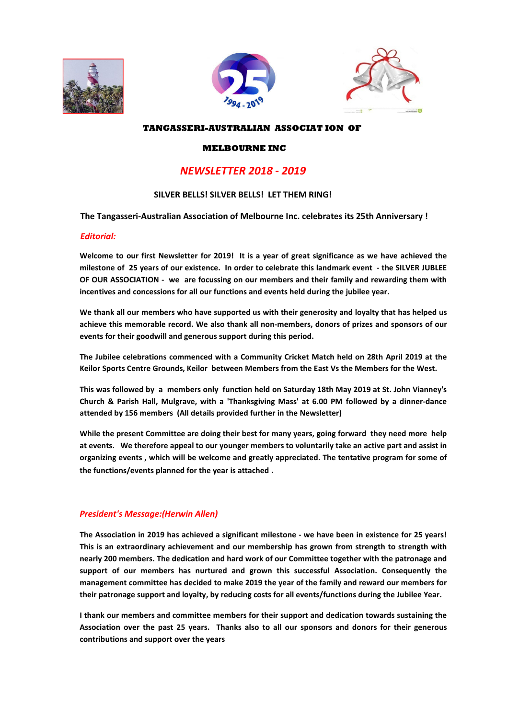





#### **TANGASSERI-AUSTRALIAN ASSOCIAT ION OF**

#### **MELBOURNE INC**

# *NEWSLETTER 2018 - 2019*

#### **SILVER BELLS! SILVER BELLS! LET THEM RING!**

**The Tangasseri-Australian Association of Melbourne Inc. celebrates its 25th Anniversary !** 

#### *Editorial:*

**Welcome to our first Newsletter for 2019! It is a year of great significance as we have achieved the milestone of 25 years of our existence. In order to celebrate this landmark event - the SILVER JUBLEE OF OUR ASSOCIATION - we are focussing on our members and their family and rewarding them with incentives and concessions for all our functions and events held during the jubilee year.** 

**We thank all our members who have supported us with their generosity and loyalty that has helped us achieve this memorable record. We also thank all non-members, donors of prizes and sponsors of our events for their goodwill and generous support during this period.** 

**The Jubilee celebrations commenced with a Community Cricket Match held on 28th April 2019 at the Keilor Sports Centre Grounds, Keilor between Members from the East Vs the Members for the West.** 

**This was followed by a members only function held on Saturday 18th May 2019 at St. John Vianney's Church & Parish Hall, Mulgrave, with a 'Thanksgiving Mass' at 6.00 PM followed by a dinner-dance attended by 156 members (All details provided further in the Newsletter)** 

**While the present Committee are doing their best for many years, going forward they need more help at events. We therefore appeal to our younger members to voluntarily take an active part and assist in organizing events , which will be welcome and greatly appreciated. The tentative program for some of the functions/events planned for the year is attached .** 

#### *President's Message:(Herwin Allen)*

**The Association in 2019 has achieved a significant milestone - we have been in existence for 25 years! This is an extraordinary achievement and our membership has grown from strength to strength with nearly 200 members. The dedication and hard work of our Committee together with the patronage and support of our members has nurtured and grown this successful Association. Consequently the management committee has decided to make 2019 the year of the family and reward our members for their patronage support and loyalty, by reducing costs for all events/functions during the Jubilee Year.** 

**I thank our members and committee members for their support and dedication towards sustaining the Association over the past 25 years. Thanks also to all our sponsors and donors for their generous contributions and support over the years**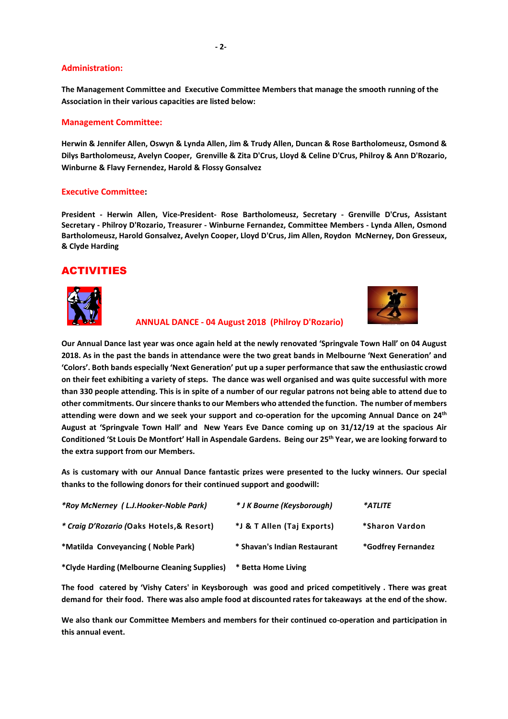#### **Administration:**

**The Management Committee and Executive Committee Members that manage the smooth running of the Association in their various capacities are listed below:** 

#### **Management Committee:**

**Herwin & Jennifer Allen, Oswyn & Lynda Allen, Jim & Trudy Allen, Duncan & Rose Bartholomeusz, Osmond & Dilys Bartholomeusz, Avelyn Cooper, Grenville & Zita D'Crus, Lloyd & Celine D'Crus, Philroy & Ann D'Rozario, Winburne & Flavy Fernendez, Harold & Flossy Gonsalvez**

#### **Executive Committee:**

**President - Herwin Allen, Vice-President- Rose Bartholomeusz, Secretary - Grenville D'Crus, Assistant Secretary - Philroy D'Rozario, Treasurer - Winburne Fernandez, Committee Members - Lynda Allen, Osmond Bartholomeusz, Harold Gonsalvez, Avelyn Cooper, Lloyd D'Crus, Jim Allen, Roydon McNerney, Don Gresseux, & Clyde Harding** 

### ACTIVITIES





#### **ANNUAL DANCE - 04 August 2018 (Philroy D'Rozario)**

**Our Annual Dance last year was once again held at the newly renovated 'Springvale Town Hall' on 04 August 2018. As in the past the bands in attendance were the two great bands in Melbourne 'Next Generation' and 'Colors'. Both bands especially 'Next Generation' put up a super performance that saw the enthusiastic crowd on their feet exhibiting a variety of steps. The dance was well organised and was quite successful with more than 330 people attending. This is in spite of a number of our regular patrons not being able to attend due to other commitments. Our sincere thanks to our Members who attended the function. The number of members attending were down and we seek your support and co-operation for the upcoming Annual Dance on 24th August at 'Springvale Town Hall' and New Years Eve Dance coming up on 31/12/19 at the spacious Air Conditioned 'St Louis De Montfort' Hall in Aspendale Gardens. Being our 25th Year, we are looking forward to the extra support from our Members.** 

**As is customary with our Annual Dance fantastic prizes were presented to the lucky winners. Our special thanks to the following donors for their continued support and goodwill:**

| *Roy McNerney (L.J.Hooker-Noble Park)        | * J K Bourne (Keysborough)   | *ATLITE            |
|----------------------------------------------|------------------------------|--------------------|
| * Craig D'Rozario (Oaks Hotels, & Resort)    | *J & T Allen (Taj Exports)   | *Sharon Vardon     |
| *Matilda Conveyancing (Noble Park)           | * Shavan's Indian Restaurant | *Godfrey Fernandez |
| *Clyde Harding (Melbourne Cleaning Supplies) | * Betta Home Living          |                    |

**The food catered by 'Vishy Caters' in Keysborough was good and priced competitively . There was great demand for their food. There was also ample food at discounted rates for takeaways at the end of the show.** 

**We also thank our Committee Members and members for their continued co-operation and participation in this annual event.**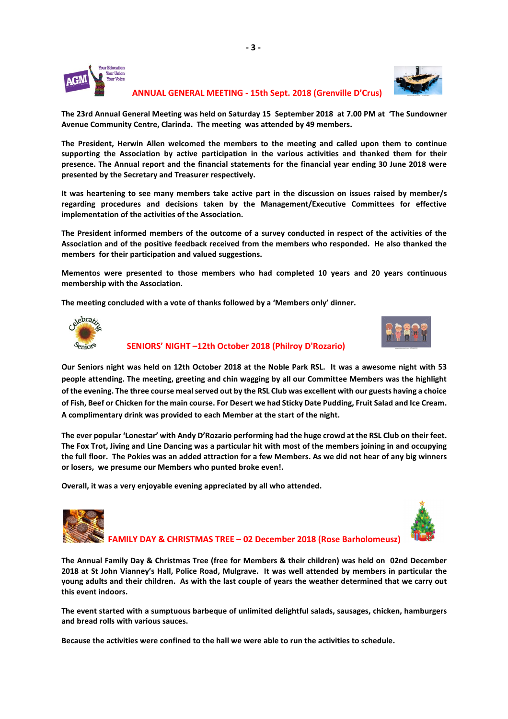

 **ANNUAL GENERAL MEETING - 15th Sept. 2018 (Grenville D'Crus)** 

**The 23rd Annual General Meeting was held on Saturday 15 September 2018 at 7.00 PM at 'The Sundowner Avenue Community Centre, Clarinda. The meeting was attended by 49 members.**

**The President, Herwin Allen welcomed the members to the meeting and called upon them to continue supporting the Association by active participation in the various activities and thanked them for their presence. The Annual report and the financial statements for the financial year ending 30 June 2018 were presented by the Secretary and Treasurer respectively.**

**It was heartening to see many members take active part in the discussion on issues raised by member/s regarding procedures and decisions taken by the Management/Executive Committees for effective implementation of the activities of the Association.** 

**The President informed members of the outcome of a survey conducted in respect of the activities of the Association and of the positive feedback received from the members who responded. He also thanked the members for their participation and valued suggestions.** 

**Mementos were presented to those members who had completed 10 years and 20 years continuous membership with the Association.** 

**The meeting concluded with a vote of thanks followed by a 'Members only' dinner.** 





 **SENIORS' NIGHT –12th October 2018 (Philroy D'Rozario)** 

**Our Seniors night was held on 12th October 2018 at the Noble Park RSL. It was a awesome night with 53 people attending. The meeting, greeting and chin wagging by all our Committee Members was the highlight of the evening. The three course meal served out by the RSL Club was excellent with our guests having a choice of Fish, Beef or Chicken for the main course. For Desert we had Sticky Date Pudding, Fruit Salad and Ice Cream. A complimentary drink was provided to each Member at the start of the night.** 

**The ever popular 'Lonestar' with Andy D'Rozario performing had the huge crowd at the RSL Club on their feet. The Fox Trot, Jiving and Line Dancing was a particular hit with most of the members joining in and occupying the full floor. The Pokies was an added attraction for a few Members. As we did not hear of any big winners or losers, we presume our Members who punted broke even!.** 

**Overall, it was a very enjoyable evening appreciated by all who attended.** 





 **FAMILY DAY & CHRISTMAS TREE – 02 December 2018 (Rose Barholomeusz)** 

**The Annual Family Day & Christmas Tree (free for Members & their children) was held on 02nd December 2018 at St John Vianney's Hall, Police Road, Mulgrave. It was well attended by members in particular the young adults and their children. As with the last couple of years the weather determined that we carry out this event indoors.** 

**The event started with a sumptuous barbeque of unlimited delightful salads, sausages, chicken, hamburgers and bread rolls with various sauces.** 

**Because the activities were confined to the hall we were able to run the activities to schedule.**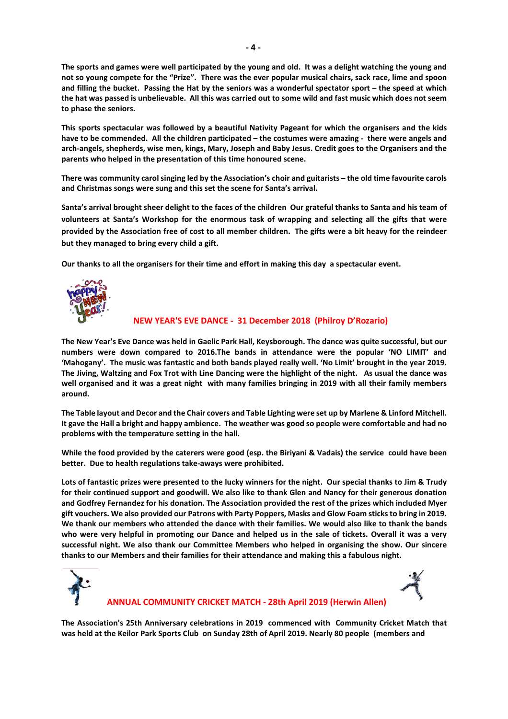**The sports and games were well participated by the young and old. It was a delight watching the young and not so young compete for the "Prize". There was the ever popular musical chairs, sack race, lime and spoon and filling the bucket. Passing the Hat by the seniors was a wonderful spectator sport – the speed at which the hat was passed is unbelievable. All this was carried out to some wild and fast music which does not seem to phase the seniors.** 

**This sports spectacular was followed by a beautiful Nativity Pageant for which the organisers and the kids have to be commended. All the children participated – the costumes were amazing - there were angels and arch-angels, shepherds, wise men, kings, Mary, Joseph and Baby Jesus. Credit goes to the Organisers and the parents who helped in the presentation of this time honoured scene.** 

**There was community carol singing led by the Association's choir and guitarists – the old time favourite carols and Christmas songs were sung and this set the scene for Santa's arrival.** 

**Santa's arrival brought sheer delight to the faces of the children Our grateful thanks to Santa and his team of volunteers at Santa's Workshop for the enormous task of wrapping and selecting all the gifts that were provided by the Association free of cost to all member children. The gifts were a bit heavy for the reindeer but they managed to bring every child a gift.** 

**Our thanks to all the organisers for their time and effort in making this day a spectacular event.**



#### **NEW YEAR'S EVE DANCE - 31 December 2018 (Philroy D'Rozario)**

**The New Year's Eve Dance was held in Gaelic Park Hall, Keysborough. The dance was quite successful, but our numbers were down compared to 2016.The bands in attendance were the popular 'NO LIMIT' and 'Mahogany'. The music was fantastic and both bands played really well. 'No Limit' brought in the year 2019. The Jiving, Waltzing and Fox Trot with Line Dancing were the highlight of the night. As usual the dance was well organised and it was a great night with many families bringing in 2019 with all their family members around.** 

**The Table layout and Decor and the Chair covers and Table Lighting were set up by Marlene & Linford Mitchell. It gave the Hall a bright and happy ambience. The weather was good so people were comfortable and had no problems with the temperature setting in the hall.** 

**While the food provided by the caterers were good (esp. the Biriyani & Vadais) the service could have been better. Due to health regulations take-aways were prohibited.** 

**Lots of fantastic prizes were presented to the lucky winners for the night. Our special thanks to Jim & Trudy for their continued support and goodwill. We also like to thank Glen and Nancy for their generous donation and Godfrey Fernandez for his donation. The Association provided the rest of the prizes which included Myer gift vouchers. We also provided our Patrons with Party Poppers, Masks and Glow Foam sticks to bring in 2019. We thank our members who attended the dance with their families. We would also like to thank the bands who were very helpful in promoting our Dance and helped us in the sale of tickets. Overall it was a very successful night. We also thank our Committee Members who helped in organising the show. Our sincere thanks to our Members and their families for their attendance and making this a fabulous night.**





#### **ANNUAL COMMUNITY CRICKET MATCH - 28th April 2019 (Herwin Allen)**

**The Association's 25th Anniversary celebrations in 2019 commenced with Community Cricket Match that was held at the Keilor Park Sports Club on Sunday 28th of April 2019. Nearly 80 people (members and**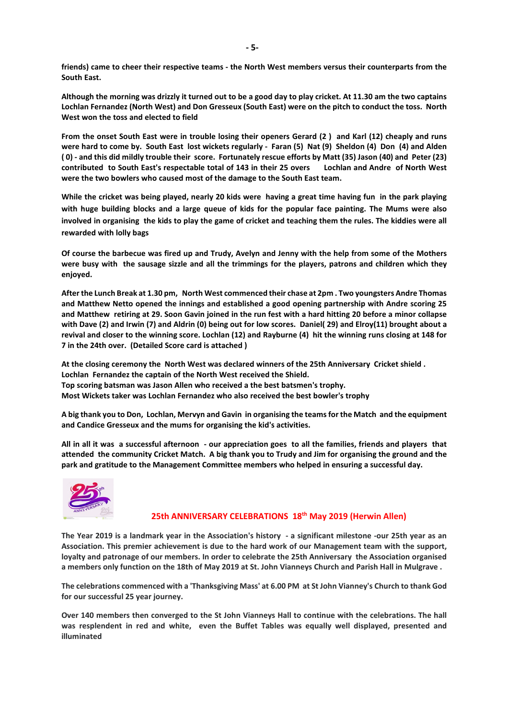**friends) came to cheer their respective teams - the North West members versus their counterparts from the South East.** 

**Although the morning was drizzly it turned out to be a good day to play cricket. At 11.30 am the two captains Lochlan Fernandez (North West) and Don Gresseux (South East) were on the pitch to conduct the toss. North West won the toss and elected to field** 

**From the onset South East were in trouble losing their openers Gerard (2 ) and Karl (12) cheaply and runs were hard to come by. South East lost wickets regularly - Faran (5) Nat (9) Sheldon (4) Don (4) and Alden ( 0) - and this did mildly trouble their score. Fortunately rescue efforts by Matt (35) Jason (40) and Peter (23) contributed to South East's respectable total of 143 in their 25 overs Lochlan and Andre of North West were the two bowlers who caused most of the damage to the South East team.** 

**While the cricket was being played, nearly 20 kids were having a great time having fun in the park playing with huge building blocks and a large queue of kids for the popular face painting. The Mums were also involved in organising the kids to play the game of cricket and teaching them the rules. The kiddies were all rewarded with lolly bags** 

**Of course the barbecue was fired up and Trudy, Avelyn and Jenny with the help from some of the Mothers were busy with the sausage sizzle and all the trimmings for the players, patrons and children which they enjoyed.** 

**After the Lunch Break at 1.30 pm, North West commenced their chase at 2pm . Two youngsters Andre Thomas and Matthew Netto opened the innings and established a good opening partnership with Andre scoring 25 and Matthew retiring at 29. Soon Gavin joined in the run fest with a hard hitting 20 before a minor collapse with Dave (2) and Irwin (7) and Aldrin (0) being out for low scores. Daniel( 29) and Elroy(11) brought about a revival and closer to the winning score. Lochlan (12) and Rayburne (4) hit the winning runs closing at 148 for 7 in the 24th over. (Detailed Score card is attached )** 

**At the closing ceremony the North West was declared winners of the 25th Anniversary Cricket shield . Lochlan Fernandez the captain of the North West received the Shield. Top scoring batsman was Jason Allen who received a the best batsmen's trophy. Most Wickets taker was Lochlan Fernandez who also received the best bowler's trophy** 

**A big thank you to Don, Lochlan, Mervyn and Gavin in organising the teams for the Match and the equipment and Candice Gresseux and the mums for organising the kid's activities.** 

**All in all it was a successful afternoon - our appreciation goes to all the families, friends and players that attended the community Cricket Match. A big thank you to Trudy and Jim for organising the ground and the park and gratitude to the Management Committee members who helped in ensuring a successful day.** 



#### **25th ANNIVERSARY CELEBRATIONS 18th May 2019 (Herwin Allen)**

**The Year 2019 is a landmark year in the Association's history - a significant milestone -our 25th year as an Association. This premier achievement is due to the hard work of our Management team with the support, loyalty and patronage of our members. In order to celebrate the 25th Anniversary the Association organised a members only function on the 18th of May 2019 at St. John Vianneys Church and Parish Hall in Mulgrave .** 

**The celebrations commenced with a 'Thanksgiving Mass' at 6.00 PM at St John Vianney's Church to thank God for our successful 25 year journey.** 

**Over 140 members then converged to the St John Vianneys Hall to continue with the celebrations. The hall was resplendent in red and white, even the Buffet Tables was equally well displayed, presented and illuminated**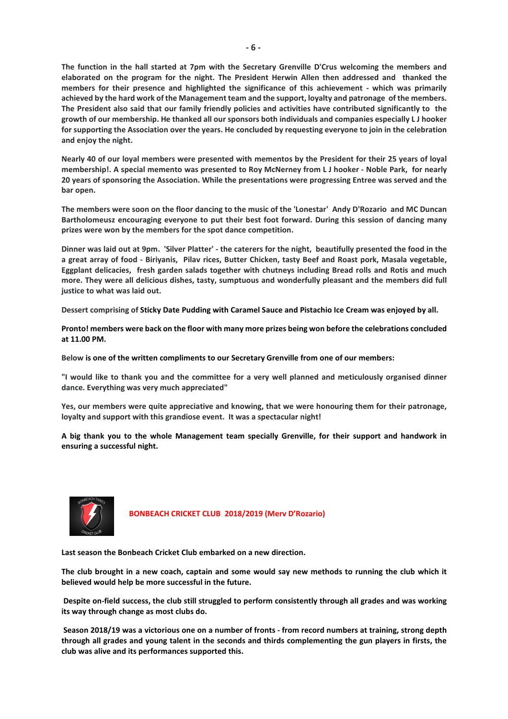**The function in the hall started at 7pm with the Secretary Grenville D'Crus welcoming the members and elaborated on the program for the night. The President Herwin Allen then addressed and thanked the members for their presence and highlighted the significance of this achievement - which was primarily achieved by the hard work of the Management team and the support, loyalty and patronage of the members. The President also said that our family friendly policies and activities have contributed significantly to the growth of our membership. He thanked all our sponsors both individuals and companies especially L J hooker for supporting the Association over the years. He concluded by requesting everyone to join in the celebration and enjoy the night.** 

**Nearly 40 of our loyal members were presented with mementos by the President for their 25 years of loyal membership!. A special memento was presented to Roy McNerney from L J hooker - Noble Park, for nearly 20 years of sponsoring the Association. While the presentations were progressing Entree was served and the bar open.** 

**The members were soon on the floor dancing to the music of the 'Lonestar' Andy D'Rozario and MC Duncan Bartholomeusz encouraging everyone to put their best foot forward. During this session of dancing many prizes were won by the members for the spot dance competition.** 

**Dinner was laid out at 9pm. 'Silver Platter' - the caterers for the night, beautifully presented the food in the a great array of food - Biriyanis, Pilav rices, Butter Chicken, tasty Beef and Roast pork, Masala vegetable, Eggplant delicacies, fresh garden salads together with chutneys including Bread rolls and Rotis and much more. They were all delicious dishes, tasty, sumptuous and wonderfully pleasant and the members did full justice to what was laid out.** 

**Dessert comprising of Sticky Date Pudding with Caramel Sauce and Pistachio Ice Cream was enjoyed by all.**

**Pronto! members were back on the floor with many more prizes being won before the celebrations concluded at 11.00 PM.** 

**Below is one of the written compliments to our Secretary Grenville from one of our members:**

**"I would like to thank you and the committee for a very well planned and meticulously organised dinner dance. Everything was very much appreciated"** 

**Yes, our members were quite appreciative and knowing, that we were honouring them for their patronage, loyalty and support with this grandiose event. It was a spectacular night!** 

**A big thank you to the whole Management team specially Grenville, for their support and handwork in ensuring a successful night.** 



 **BONBEACH CRICKET CLUB 2018/2019 (Merv D'Rozario)** 

**Last season the Bonbeach Cricket Club embarked on a new direction.** 

**The club brought in a new coach, captain and some would say new methods to running the club which it believed would help be more successful in the future.** 

 **Despite on-field success, the club still struggled to perform consistently through all grades and was working its way through change as most clubs do.** 

 **Season 2018/19 was a victorious one on a number of fronts - from record numbers at training, strong depth through all grades and young talent in the seconds and thirds complementing the gun players in firsts, the club was alive and its performances supported this.**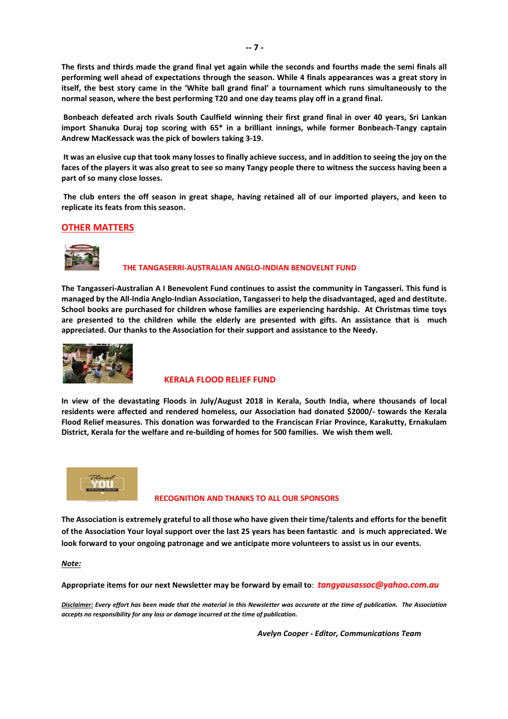**The firsts and thirds made the grand final yet again while the seconds and fourths made the semi finals all performing well ahead of expectations through the season. While 4 finals appearances was a great story in itself, the best story came in the 'White ball grand final' a tournament which runs simultaneously to the normal season, where the best performing T20 and one day teams play off in a grand final.** 

 **Bonbeach defeated arch rivals South Caulfield winning their first grand final in over 40 years, Sri Lankan import Shanuka Duraj top scoring with 65\* in a brilliant innings, while former Bonbeach-Tangy captain Andrew MacKessack was the pick of bowlers taking 3-19.** 

 **It was an elusive cup that took many losses to finally achieve success, and in addition to seeing the joy on the faces of the players it was also great to see so many Tangy people there to witness the success having been a part of so many close losses.** 

 **The club enters the off season in great shape, having retained all of our imported players, and keen to replicate its feats from this season.** 

#### **OTHER MATTERS**



#### **THE TANGASERRI-AUSTRALIAN ANGLO-INDIAN BENOVELNT FUND**

**The Tangasseri-Australian A I Benevolent Fund continues to assist the community in Tangasseri. This fund is managed by the All-India Anglo-Indian Association, Tangasseri to help the disadvantaged, aged and destitute. School books are purchased for children whose families are experiencing hardship. At Christmas time toys are presented to the children while the elderly are presented with gifts. An assistance that is much appreciated. Our thanks to the Association for their support and assistance to the Needy.** 



#### **KERALA FLOOD RELIEF FUND**

**In view of the devastating Floods in July/August 2018 in Kerala, South India, where thousands of local residents were affected and rendered homeless, our Association had donated \$2000/- towards the Kerala Flood Relief measures. This donation was forwarded to the Franciscan Friar Province, Karakutty, Ernakulam District, Kerala for the welfare and re-building of homes for 500 families. We wish them well.** 



#### **RECOGNITION AND THANKS TO ALL OUR SPONSORS**

**The Association is extremely grateful to all those who have given their time/talents and efforts for the benefit of the Association Your loyal support over the last 25 years has been fantastic and is much appreciated. We look forward to your ongoing patronage and we anticipate more volunteers to assist us in our events.**

*Note:* 

**Appropriate items for our next Newsletter may be forward by email to**: *tangyausassoc@yahoo.com.au* 

*Disclaimer: Every effort has been made that the material in this Newsletter was accurate at the time of publication. The Association accepts no responsibility for any loss or damage incurred at the time of publication.* 

 *Avelyn Cooper - Editor, Communications Team*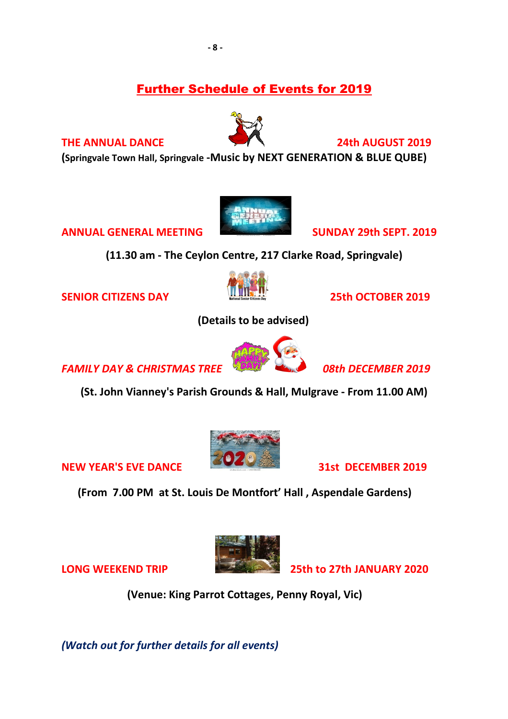# Further Schedule of Events for 2019

# **THE ANNUAL DANCE** 24th AUGUST 2019

**(Springvale Town Hall, Springvale -Music by NEXT GENERATION & BLUE QUBE)** 

**ANNUAL GENERAL MEETING SUNDAY 29th SEPT. 2019** 

**(11.30 am - The Ceylon Centre, 217 Clarke Road, Springvale)** 

**SENIOR CITIZENS DAY 25th OCTOBER 2019** 

 **(Details to be advised)** 

**FAMILY DAY & CHRISTMAS TREE DAY! 19th DECEMBER 2019** 

**(St. John Vianney's Parish Grounds & Hall, Mulgrave - From 11.00 AM)** 

 **(From 7.00 PM at St. Louis De Montfort' Hall , Aspendale Gardens)**

 **(Venue: King Parrot Cottages, Penny Royal, Vic)** 

*(Watch out for further details for all events)*













**NEW YEAR'S EVE DANCE 31st DECEMBER 2019** 

**LONG WEEKEND TRIP 25th to 27th JANUARY 2020**